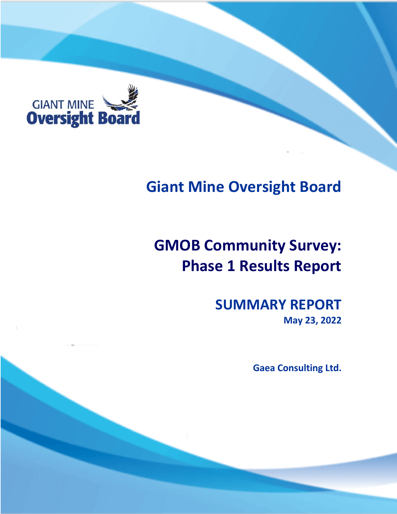

# **Giant Mine Oversight Board**

# **GMOB Community Survey: Phase 1 Results Report**

# **SUMMARY REPORT**

**May 23, 2022**

**Gaea Consulting Ltd.**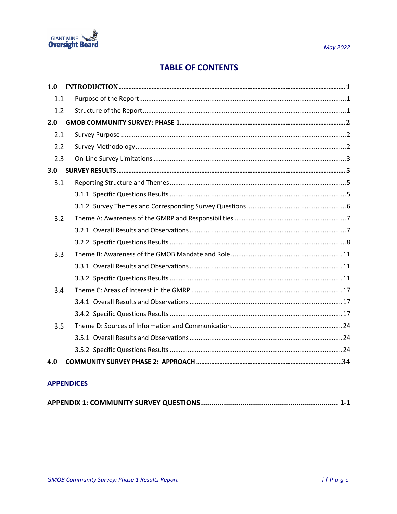

# **TABLE OF CONTENTS**

| 1.0 |  |
|-----|--|
| 1.1 |  |
| 1.2 |  |
| 2.0 |  |
| 2.1 |  |
| 2.2 |  |
| 2.3 |  |
| 3.0 |  |
| 3.1 |  |
|     |  |
|     |  |
| 3.2 |  |
|     |  |
|     |  |
| 3.3 |  |
|     |  |
|     |  |
| 3.4 |  |
|     |  |
|     |  |
| 3.5 |  |
|     |  |
|     |  |
| 4.0 |  |

## **APPENDICES**

|--|--|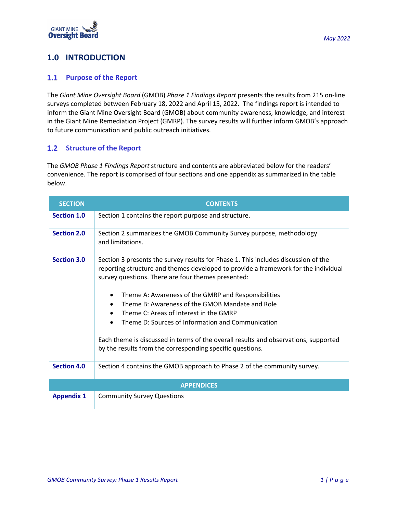## **1.0 INTRODUCTION**

## **1.1 Purpose of the Report**

The *Giant Mine Oversight Board* (GMOB) *Phase 1 Findings Report* presents the results from 215 on-line surveys completed between February 18, 2022 and April 15, 2022. The findings report is intended to inform the Giant Mine Oversight Board (GMOB) about community awareness, knowledge, and interest in the Giant Mine Remediation Project (GMRP). The survey results will further inform GMOB's approach to future communication and public outreach initiatives.

## **1.2 Structure of the Report**

The *GMOB Phase 1 Findings Report* structure and contents are abbreviated below for the readers' convenience. The report is comprised of four sections and one appendix as summarized in the table below.

| <b>SECTION</b>     | <b>CONTENTS</b>                                                                                                                                                                                                                                                                                                                                                                                                                                                                                                                                                                                  |  |  |  |  |
|--------------------|--------------------------------------------------------------------------------------------------------------------------------------------------------------------------------------------------------------------------------------------------------------------------------------------------------------------------------------------------------------------------------------------------------------------------------------------------------------------------------------------------------------------------------------------------------------------------------------------------|--|--|--|--|
| Section 1.0        | Section 1 contains the report purpose and structure.                                                                                                                                                                                                                                                                                                                                                                                                                                                                                                                                             |  |  |  |  |
| <b>Section 2.0</b> | Section 2 summarizes the GMOB Community Survey purpose, methodology<br>and limitations.                                                                                                                                                                                                                                                                                                                                                                                                                                                                                                          |  |  |  |  |
| <b>Section 3.0</b> | Section 3 presents the survey results for Phase 1. This includes discussion of the<br>reporting structure and themes developed to provide a framework for the individual<br>survey questions. There are four themes presented:<br>Theme A: Awareness of the GMRP and Responsibilities<br>٠<br>Theme B: Awareness of the GMOB Mandate and Role<br>Theme C: Areas of Interest in the GMRP<br>Theme D: Sources of Information and Communication<br>Each theme is discussed in terms of the overall results and observations, supported<br>by the results from the corresponding specific questions. |  |  |  |  |
| <b>Section 4.0</b> | Section 4 contains the GMOB approach to Phase 2 of the community survey.                                                                                                                                                                                                                                                                                                                                                                                                                                                                                                                         |  |  |  |  |
| <b>APPENDICES</b>  |                                                                                                                                                                                                                                                                                                                                                                                                                                                                                                                                                                                                  |  |  |  |  |
| <b>Appendix 1</b>  | <b>Community Survey Questions</b>                                                                                                                                                                                                                                                                                                                                                                                                                                                                                                                                                                |  |  |  |  |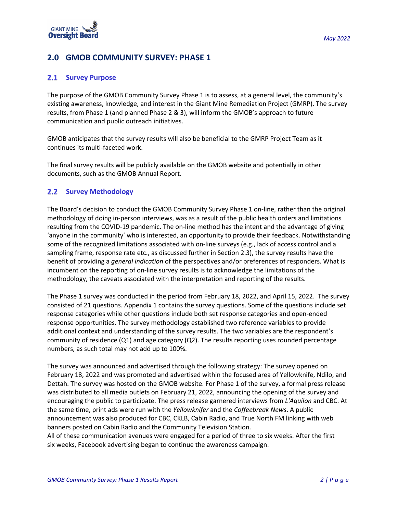## **2.0 GMOB COMMUNITY SURVEY: PHASE 1**

## **2.1 Survey Purpose**

The purpose of the GMOB Community Survey Phase 1 is to assess, at a general level, the community's existing awareness, knowledge, and interest in the Giant Mine Remediation Project (GMRP). The survey results, from Phase 1 (and planned Phase 2 & 3), will inform the GMOB's approach to future communication and public outreach initiatives.

GMOB anticipates that the survey results will also be beneficial to the GMRP Project Team as it continues its multi-faceted work.

The final survey results will be publicly available on the GMOB website and potentially in other documents, such as the GMOB Annual Report.

## **2.2 Survey Methodology**

The Board's decision to conduct the GMOB Community Survey Phase 1 on-line, rather than the original methodology of doing in-person interviews, was as a result of the public health orders and limitations resulting from the COVID-19 pandemic. The on-line method has the intent and the advantage of giving 'anyone in the community' who is interested, an opportunity to provide their feedback. Notwithstanding some of the recognized limitations associated with on-line surveys (e.g., lack of access control and a sampling frame, response rate etc., as discussed further in Section 2.3), the survey results have the benefit of providing a *general indication* of the perspectives and/or preferences of responders. What is incumbent on the reporting of on-line survey results is to acknowledge the limitations of the methodology, the caveats associated with the interpretation and reporting of the results.

The Phase 1 survey was conducted in the period from February 18, 2022, and April 15, 2022. The survey consisted of 21 questions. Appendix 1 contains the survey questions. Some of the questions include set response categories while other questions include both set response categories and open-ended response opportunities. The survey methodology established two reference variables to provide additional context and understanding of the survey results. The two variables are the respondent's community of residence (Q1) and age category (Q2). The results reporting uses rounded percentage numbers, as such total may not add up to 100%.

The survey was announced and advertised through the following strategy: The survey opened on February 18, 2022 and was promoted and advertised within the focused area of Yellowknife, Ndilo, and Dettah. The survey was hosted on the GMOB website. For Phase 1 of the survey, a formal press release was distributed to all media outlets on February 21, 2022, announcing the opening of the survey and encouraging the public to participate. The press release garnered interviews from *L'Aquilon* and CBC. At the same time, print ads were run with the *Yellowknifer* and the *Coffeebreak News*. A public announcement was also produced for CBC, CKLB, Cabin Radio, and True North FM linking with web banners posted on Cabin Radio and the Community Television Station.

All of these communication avenues were engaged for a period of three to six weeks. After the first six weeks, Facebook advertising began to continue the awareness campaign.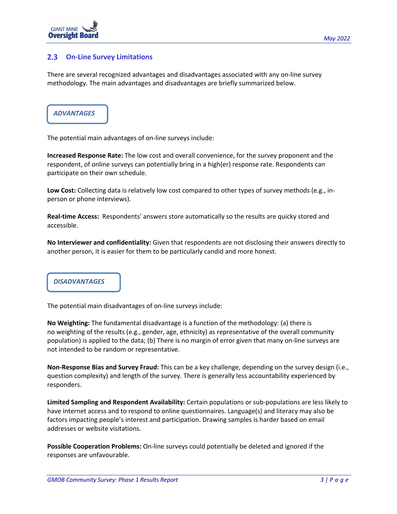

#### $2.3$ **On-Line Survey Limitations**

There are several recognized advantages and disadvantages associated with any on-line survey methodology. The main advantages and disadvantages are briefly summarized below.



The potential main advantages of on-line surveys include:

**Increased Response Rate:** The low cost and overall convenience, for the survey proponent and the respondent, of online surveys can potentially bring in a high(er) response rate. Respondents can participate on their own schedule.

**Low Cost:** Collecting data is relatively low cost compared to other types of survey methods (e.g., inperson or phone interviews).

**Real-time Access:** Respondents' answers store automatically so the results are quicky stored and accessible.

**No Interviewer and confidentiality:** Given that respondents are not disclosing their answers directly to another person, it is easier for them to be particularly candid and more honest.

## *DISADVANTAGES*

The potential main disadvantages of on-line surveys include:

**No Weighting:** The fundamental disadvantage is a function of the methodology: (a) there is no weighting of the results (e.g., gender, age, ethnicity) as representative of the overall community population) is applied to the data; (b) There is no margin of error given that many on-line surveys are not intended to be random or representative.

**Non-Response Bias and Survey Fraud:** This can be a key challenge, depending on the survey design (i.e., question complexity) and length of the survey. There is generally less accountability experienced by responders.

**Limited Sampling and Respondent Availability:** Certain populations or sub-populations are less likely to have internet access and to respond to online questionnaires. Language(s) and literacy may also be factors impacting people's interest and participation. Drawing samples is harder based on email addresses or website visitations.

**Possible Cooperation Problems:** On-line surveys could potentially be deleted and ignored if the responses are unfavourable.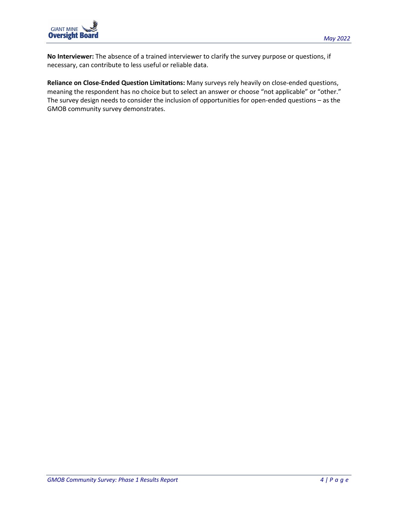

**No Interviewer:** The absence of a trained interviewer to clarify the survey purpose or questions, if necessary, can contribute to less useful or reliable data.

**Reliance on Close-Ended Question Limitations:** Many surveys rely heavily on close-ended questions, meaning the respondent has no choice but to select an answer or choose "not applicable" or "other." The survey design needs to consider the inclusion of opportunities for open-ended questions – as the GMOB community survey demonstrates.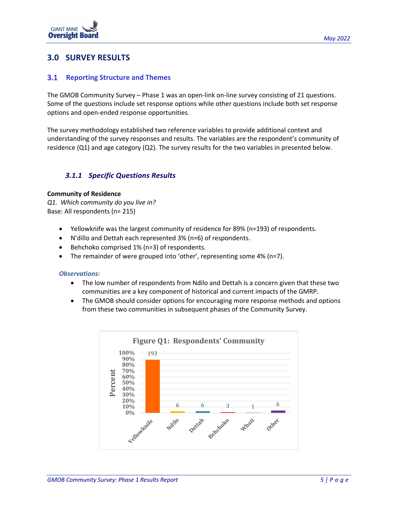# **3.0 SURVEY RESULTS**

## **3.1 Reporting Structure and Themes**

The GMOB Community Survey – Phase 1 was an open-link on-line survey consisting of 21 questions. Some of the questions include set response options while other questions include both set response options and open-ended response opportunities.

The survey methodology established two reference variables to provide additional context and understanding of the survey responses and results. The variables are the respondent's community of residence (Q1) and age category (Q2). The survey results for the two variables in presented below.

## *3.1.1 Specific Questions Results*

#### **Community of Residence**

*Q1. Which community do you live in?* Base: All respondents (n= 215)

- Yellowknife was the largest community of residence for 89% (n=193) of respondents.
- N'dillo and Dettah each represented 3% (n=6) of respondents.
- Behchoko comprised 1% (n=3) of respondents.
- The remainder of were grouped into 'other', representing some 4% (n=7).

#### *Observations:*

- The low number of respondents from Ndilo and Dettah is a concern given that these two communities are a key component of historical and current impacts of the GMRP.
- The GMOB should consider options for encouraging more response methods and options from these two communities in subsequent phases of the Community Survey.

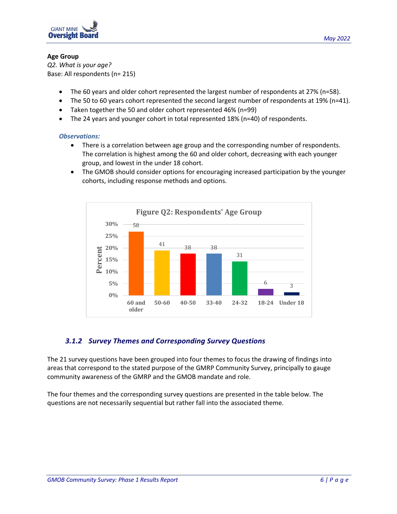

## **Age Group**

*Q2. What is your age?*  Base: All respondents (n= 215)

- The 60 years and older cohort represented the largest number of respondents at 27% (n=58).
- The 50 to 60 years cohort represented the second largest number of respondents at 19% (n=41).
- Taken together the 50 and older cohort represented 46% (n=99)
- The 24 years and younger cohort in total represented 18% (n=40) of respondents.

## *Observations:*

- There is a correlation between age group and the corresponding number of respondents. The correlation is highest among the 60 and older cohort, decreasing with each younger group, and lowest in the under 18 cohort.
- The GMOB should consider options for encouraging increased participation by the younger cohorts, including response methods and options.



## *3.1.2 Survey Themes and Corresponding Survey Questions*

The 21 survey questions have been grouped into four themes to focus the drawing of findings into areas that correspond to the stated purpose of the GMRP Community Survey, principally to gauge community awareness of the GMRP and the GMOB mandate and role.

The four themes and the corresponding survey questions are presented in the table below. The questions are not necessarily sequential but rather fall into the associated theme.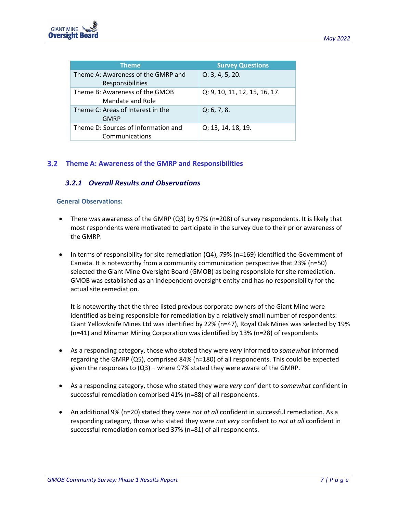

| <b>Theme</b>                                           | <b>Survey Questions</b>       |
|--------------------------------------------------------|-------------------------------|
| Theme A: Awareness of the GMRP and<br>Responsibilities | Q: 3, 4, 5, 20.               |
| Theme B: Awareness of the GMOB<br>Mandate and Role     | Q: 9, 10, 11, 12, 15, 16, 17. |
| Theme C: Areas of Interest in the<br><b>GMRP</b>       | Q: 6, 7, 8.                   |
| Theme D: Sources of Information and<br>Communications  | Q: 13, 14, 18, 19.            |

## **Theme A: Awareness of the GMRP and Responsibilities**

## *3.2.1 Overall Results and Observations*

## **General Observations:**

- There was awareness of the GMRP (Q3) by 97% (n=208) of survey respondents. It is likely that most respondents were motivated to participate in the survey due to their prior awareness of the GMRP.
- In terms of responsibility for site remediation (Q4), 79% (n=169) identified the Government of Canada. It is noteworthy from a community communication perspective that 23% (n=50) selected the Giant Mine Oversight Board (GMOB) as being responsible for site remediation. GMOB was established as an independent oversight entity and has no responsibility for the actual site remediation.

It is noteworthy that the three listed previous corporate owners of the Giant Mine were identified as being responsible for remediation by a relatively small number of respondents: Giant Yellowknife Mines Ltd was identified by 22% (n=47), Royal Oak Mines was selected by 19% (n=41) and Miramar Mining Corporation was identified by 13% (n=28) of respondents

- As a responding category, those who stated they were *very* informed to *somewhat* informed regarding the GMRP (Q5), comprised 84% (n=180) of all respondents. This could be expected given the responses to (Q3) – where 97% stated they were aware of the GMRP.
- As a responding category, those who stated they were *very* confident to *somewhat* confident in successful remediation comprised 41% (n=88) of all respondents.
- An additional 9% (n=20) stated they were *not at all* confident in successful remediation. As a responding category, those who stated they were *not very* confident to *not at all* confident in successful remediation comprised 37% (n=81) of all respondents.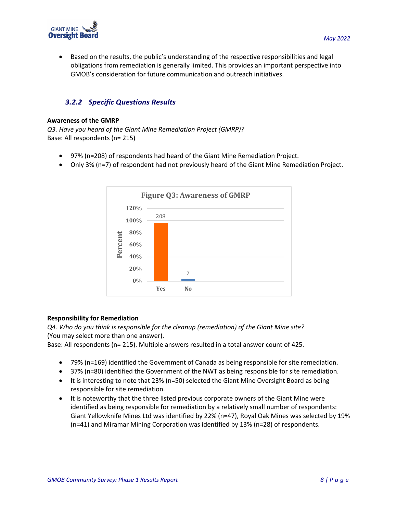

• Based on the results, the public's understanding of the respective responsibilities and legal obligations from remediation is generally limited. This provides an important perspective into GMOB's consideration for future communication and outreach initiatives.

## *3.2.2 Specific Questions Results*

## **Awareness of the GMRP**

*Q3. Have you heard of the Giant Mine Remediation Project (GMRP)?* Base: All respondents (n= 215)

- 97% (n=208) of respondents had heard of the Giant Mine Remediation Project.
- Only 3% (n=7) of respondent had not previously heard of the Giant Mine Remediation Project.



## **Responsibility for Remediation**

*Q4. Who do you think is responsible for the cleanup (remediation) of the Giant Mine site?* (You may select more than one answer).

Base: All respondents (n= 215). Multiple answers resulted in a total answer count of 425.

- 79% (n=169) identified the Government of Canada as being responsible for site remediation.
- 37% (n=80) identified the Government of the NWT as being responsible for site remediation.
- It is interesting to note that 23% (n=50) selected the Giant Mine Oversight Board as being responsible for site remediation.
- It is noteworthy that the three listed previous corporate owners of the Giant Mine were identified as being responsible for remediation by a relatively small number of respondents: Giant Yellowknife Mines Ltd was identified by 22% (n=47), Royal Oak Mines was selected by 19% (n=41) and Miramar Mining Corporation was identified by 13% (n=28) of respondents.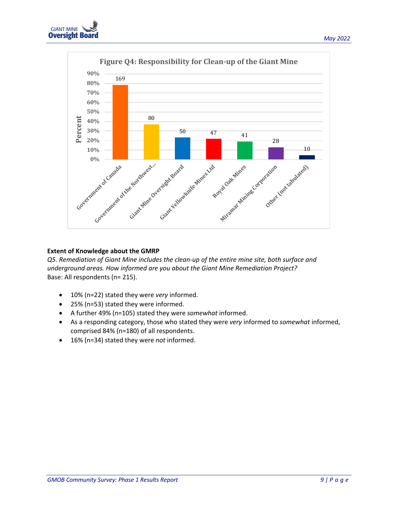



## **Extent of Knowledge about the GMRP**

*Q5. Remediation of Giant Mine includes the clean-up of the entire mine site, both surface and underground areas. How informed are you about the Giant Mine Remediation Project?* Base: All respondents (n= 215).

- 10% (n=22) stated they were *very* informed.
- 25% (n=53) stated they were informed.
- A further 49% (n=105) stated they were *somewhat* informed.
- As a responding category, those who stated they were *very* informed to *somewhat* informed, comprised 84% (n=180) of all respondents.
- 16% (n=34) stated they were *not* informed.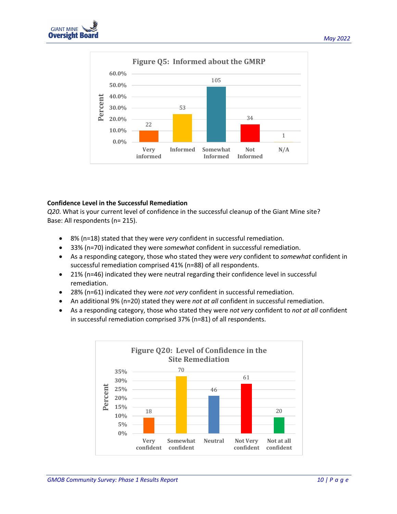



## **Confidence Level in the Successful Remediation**

*Q20*. What is your current level of confidence in the successful cleanup of the Giant Mine site? Base: All respondents (n= 215).

- 8% (n=18) stated that they were *very* confident in successful remediation.
- 33% (n=70) indicated they were *somewhat* confident in successful remediation.
- As a responding category, those who stated they were *very* confident to *somewhat* confident in successful remediation comprised 41% (n=88) of all respondents.
- 21% (n=46) indicated they were neutral regarding their confidence level in successful remediation.
- 28% (n=61) indicated they were *not very* confident in successful remediation.
- An additional 9% (n=20) stated they were *not at all* confident in successful remediation.
- As a responding category, those who stated they were *not very* confident to *not at all* confident in successful remediation comprised 37% (n=81) of all respondents.

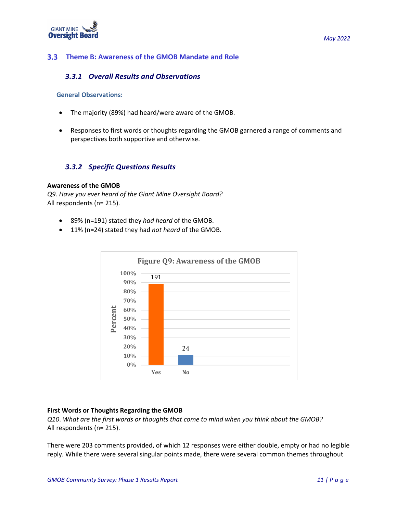

## **Theme B: Awareness of the GMOB Mandate and Role**

## *3.3.1 Overall Results and Observations*

#### **General Observations:**

- The majority (89%) had heard/were aware of the GMOB.
- Responses to first words or thoughts regarding the GMOB garnered a range of comments and perspectives both supportive and otherwise.

## *3.3.2 Specific Questions Results*

#### **Awareness of the GMOB**

*Q9*. *Have you ever heard of the Giant Mine Oversight Board?*  All respondents (n= 215).

- 89% (n=191) stated they *had heard* of the GMOB.
- 11% (n=24) stated they had *not heard* of the GMOB.



## **First Words or Thoughts Regarding the GMOB**

*Q10*. *What are the first words or thoughts that come to mind when you think about the GMOB?*  All respondents (n= 215).

There were 203 comments provided, of which 12 responses were either double, empty or had no legible reply. While there were several singular points made, there were several common themes throughout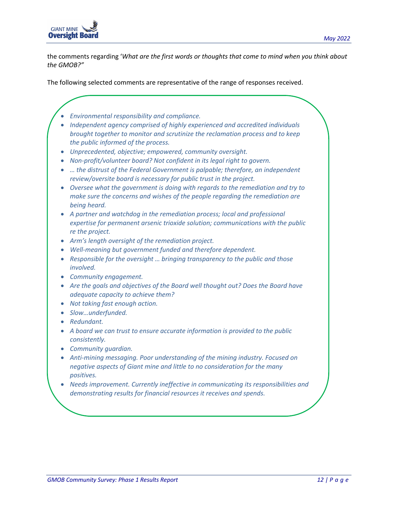

the comments regarding '*What are the first words or thoughts that come to mind when you think about the GMOB?"* 

The following selected comments are representative of the range of responses received.

- *Environmental responsibility and compliance.*
- *Independent agency comprised of highly experienced and accredited individuals brought together to monitor and scrutinize the reclamation process and to keep the public informed of the process.*
- *Unprecedented, objective; empowered, community oversight.*
- *Non-profit/volunteer board? Not confident in its legal right to govern.*
- *… the distrust of the Federal Government is palpable; therefore, an independent review/oversite board is necessary for public trust in the project.*
- *Oversee what the government is doing with regards to the remediation and try to make sure the concerns and wishes of the people regarding the remediation are being heard.*
- *A partner and watchdog in the remediation process; local and professional expertise for permanent arsenic trioxide solution; communications with the public re the project.*
- *Arm's length oversight of the remediation project.*
- *Well-meaning but government funded and therefore dependent.*
- *Responsible for the oversight … bringing transparency to the public and those involved.*
- *Community engagement.*
- *Are the goals and objectives of the Board well thought out? Does the Board have adequate capacity to achieve them?*
- *Not taking fast enough action.*
- *Slow…underfunded.*
- *Redundant.*
- *A board we can trust to ensure accurate information is provided to the public consistently.*
- *Community guardian.*
- *Anti-mining messaging. Poor understanding of the mining industry. Focused on negative aspects of Giant mine and little to no consideration for the many positives.*
- *Needs improvement. Currently ineffective in communicating its responsibilities and demonstrating results for financial resources it receives and spends.*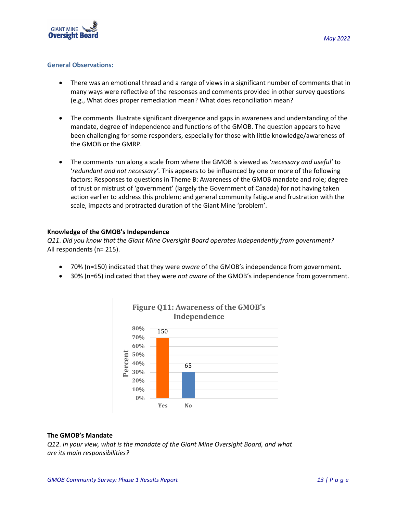

#### **General Observations:**

- There was an emotional thread and a range of views in a significant number of comments that in many ways were reflective of the responses and comments provided in other survey questions (e.g., What does proper remediation mean? What does reconciliation mean?
- The comments illustrate significant divergence and gaps in awareness and understanding of the mandate, degree of independence and functions of the GMOB. The question appears to have been challenging for some responders, especially for those with little knowledge/awareness of the GMOB or the GMRP.
- The comments run along a scale from where the GMOB is viewed as '*necessary and useful'* to '*redundant and not necessary'*. This appears to be influenced by one or more of the following factors: Responses to questions in Theme B: Awareness of the GMOB mandate and role; degree of trust or mistrust of 'government' (largely the Government of Canada) for not having taken action earlier to address this problem; and general community fatigue and frustration with the scale, impacts and protracted duration of the Giant Mine 'problem'.

## **Knowledge of the GMOB's Independence**

*Q11*. *Did you know that the Giant Mine Oversight Board operates independently from government?*  All respondents (n= 215).

- 70% (n=150) indicated that they were *aware* of the GMOB's independence from government.
- 30% (n=65) indicated that they were *not aware* of the GMOB's independence from government.



## **The GMOB's Mandate**

*Q12*. *In your view, what is the mandate of the Giant Mine Oversight Board, and what are its main responsibilities?*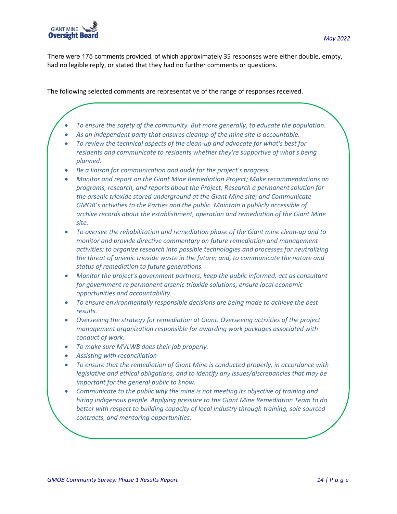

There were 175 comments provided, of which approximately 35 responses were either double, empty, had no legible reply, or stated that they had no further comments or questions.

The following selected comments are representative of the range of responses received.

- *To ensure the safety of the community. But more generally, to educate the population.*
- *As an independent party that ensures cleanup of the mine site is accountable.*
- *To review the technical aspects of the clean-up and advocate for what's best for residents and communicate to residents whether they're supportive of what's being planned.*
- *Be a liaison for communication and audit for the project's progress.*
- *Monitor and report on the Giant Mine Remediation Project; Make recommendations on programs, research, and reports about the Project; Research a permanent solution for the arsenic trioxide stored underground at the Giant Mine site; and Communicate GMOB's activities to the Parties and the public. Maintain a publicly accessible of archive records about the establishment, operation and remediation of the Giant Mine site.*
- *To oversee the rehabilitation and remediation phase of the Giant mine clean-up and to monitor and provide directive commentary on future remediation and management activities; to organize research into possible technologies and processes for neutralizing the threat of arsenic trioxide waste in the future; and, to communicate the nature and status of remediation to future generations.*
- *Monitor the project's government partners, keep the public informed, act as consultant for government re permanent arsenic trioxide solutions, ensure local economic opportunities and accountability.*
- *To ensure environmentally responsible decisions are being made to achieve the best results.*
- *Overseeing the strategy for remediation at Giant. Overseeing activities of the project management organization responsible for awarding work packages associated with conduct of work.*
- *To make sure MVLWB does their job properly.*
- *Assisting with reconciliation*
- *To ensure that the remediation of Giant Mine is conducted properly, in accordance with legislative and ethical obligations, and to identify any issues/discrepancies that may be important for the general public to know.*
- *Communicate to the public why the mine is not meeting its objective of training and hiring indigenous people. Applying pressure to the Giant Mine Remediation Team to do better with respect to building capacity of local industry through training, sole sourced contracts, and mentoring opportunities.*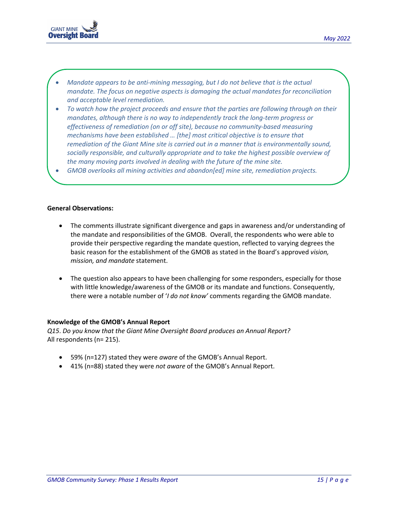



- *Mandate appears to be anti-mining messaging, but I do not believe that is the actual mandate. The focus on negative aspects is damaging the actual mandates for reconciliation and acceptable level remediation.*
- *To watch how the project proceeds and ensure that the parties are following through on their mandates, although there is no way to independently track the long-term progress or effectiveness of remediation (on or off site), because no community-based measuring mechanisms have been established … [the] most critical objective is to ensure that remediation of the Giant Mine site is carried out in a manner that is environmentally sound, socially responsible, and culturally appropriate and to take the highest possible overview of the many moving parts involved in dealing with the future of the mine site.*
- *GMOB overlooks all mining activities and abandon[ed] mine site, remediation projects.*

## **General Observations:**

- The comments illustrate significant divergence and gaps in awareness and/or understanding of the mandate and responsibilities of the GMOB. Overall, the respondents who were able to provide their perspective regarding the mandate question, reflected to varying degrees the basic reason for the establishment of the GMOB as stated in the Board's approved *vision, mission, and mandate* statement.
- The question also appears to have been challenging for some responders, especially for those with little knowledge/awareness of the GMOB or its mandate and functions. Consequently, there were a notable number of '*I do not know'* comments regarding the GMOB mandate.

#### **Knowledge of the GMOB's Annual Report**

*Q15*. *Do you know that the Giant Mine Oversight Board produces an Annual Report?* All respondents (n= 215).

- 59% (n=127) stated they were *aware* of the GMOB's Annual Report.
- 41% (n=88) stated they were *not aware* of the GMOB's Annual Report.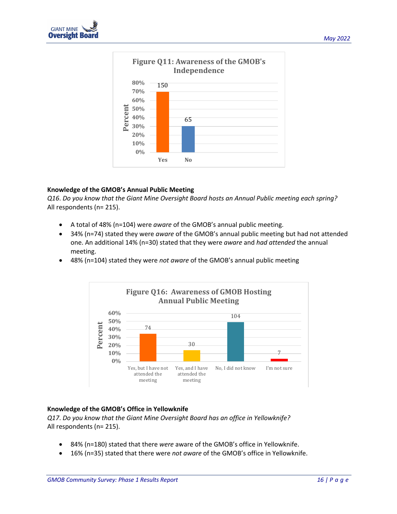



## **Knowledge of the GMOB's Annual Public Meeting**

*Q16*. *Do you know that the Giant Mine Oversight Board hosts an Annual Public meeting each spring?* All respondents (n= 215).

- A total of 48% (n=104) were *aware* of the GMOB's annual public meeting.
- 34% (n=74) stated they were *aware* of the GMOB's annual public meeting but had not attended one. An additional 14% (n=30) stated that they were *aware* and *had attended* the annual meeting.
- 48% (n=104) stated they were *not aware* of the GMOB's annual public meeting



## **Knowledge of the GMOB's Office in Yellowknife**

*Q17*. *Do you know that the Giant Mine Oversight Board has an office in Yellowknife?* All respondents (n= 215).

- 84% (n=180) stated that there *were* aware of the GMOB's office in Yellowknife.
- 16% (n=35) stated that there were *not aware* of the GMOB's office in Yellowknife.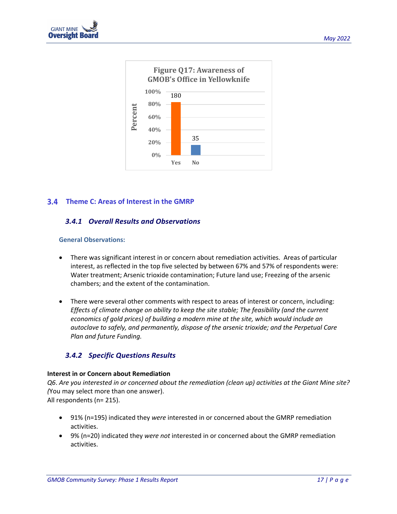



## **Theme C: Areas of Interest in the GMRP**

## *3.4.1 Overall Results and Observations*

#### **General Observations:**

- There was significant interest in or concern about remediation activities. Areas of particular interest, as reflected in the top five selected by between 67% and 57% of respondents were: Water treatment; Arsenic trioxide contamination; Future land use; Freezing of the arsenic chambers; and the extent of the contamination.
- There were several other comments with respect to areas of interest or concern, including: *Effects of climate change on ability to keep the site stable; The feasibility (and the current economics of gold prices) of building a modern mine at the site, which would include an autoclave to safely, and permanently, dispose of the arsenic trioxide; and the Perpetual Care Plan and future Funding.*

## *3.4.2 Specific Questions Results*

#### **Interest in or Concern about Remediation**

*Q6*. *Are you interested in or concerned about the remediation (clean up) activities at the Giant Mine site? (*You may select more than one answer). All respondents (n= 215).

- 91% (n=195) indicated they *were* interested in or concerned about the GMRP remediation activities.
- 9% (n=20) indicated they *were not* interested in or concerned about the GMRP remediation activities.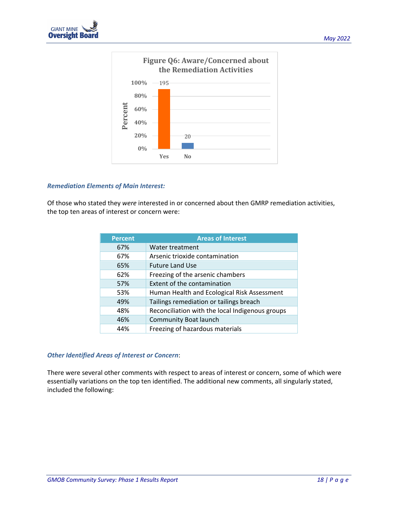



## *Remediation Elements of Main Interest:*

Of those who stated they *were* interested in or concerned about then GMRP remediation activities, the top ten areas of interest or concern were:

| <b>Percent</b> | <b>Areas of Interest</b>                        |
|----------------|-------------------------------------------------|
| 67%            | Water treatment                                 |
| 67%            | Arsenic trioxide contamination                  |
| 65%            | <b>Future Land Use</b>                          |
| 62%            | Freezing of the arsenic chambers                |
| 57%            | Extent of the contamination                     |
| 53%            | Human Health and Ecological Risk Assessment     |
| 49%            | Tailings remediation or tailings breach         |
| 48%            | Reconciliation with the local Indigenous groups |
| 46%            | <b>Community Boat launch</b>                    |
| 44%            | Freezing of hazardous materials                 |

## *Other Identified Areas of Interest or Concern*:

There were several other comments with respect to areas of interest or concern, some of which were essentially variations on the top ten identified. The additional new comments, all singularly stated, included the following: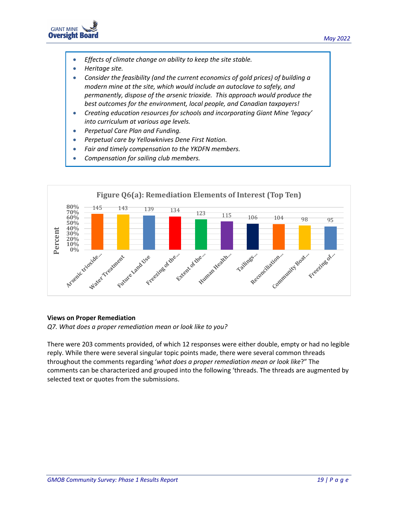

- *Effects of climate change on ability to keep the site stable.*
- *Heritage site.*
- *Consider the feasibility (and the current economics of gold prices) of building a modern mine at the site, which would include an autoclave to safely, and permanently, dispose of the arsenic trioxide. This approach would produce the best outcomes for the environment, local people, and Canadian taxpayers!*
- *Creating education resources for schools and incorporating Giant Mine 'legacy' into curriculum at various age levels.*
- *Perpetual Care Plan and Funding.*
- *Perpetual care by Yellowknives Dene First Nation.*
- *Fair and timely compensation to the YKDFN members.*
- *Compensation for sailing club members.*



## **Views on Proper Remediation**

*Q7. What does a proper remediation mean or look like to you?* 

There were 203 comments provided, of which 12 responses were either double, empty or had no legible reply. While there were several singular topic points made, there were several common threads throughout the comments regarding '*what does a proper remediation mean or look like*?" The comments can be characterized and grouped into the following 'threads. The threads are augmented by selected text or quotes from the submissions.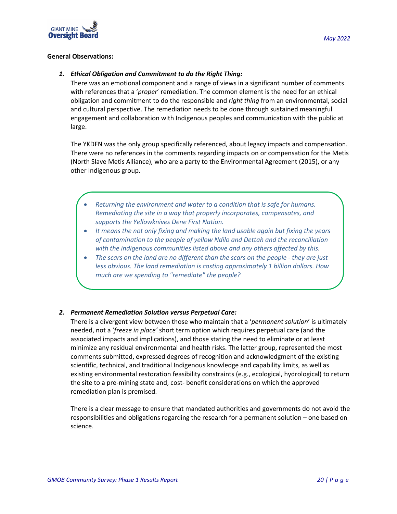

#### **General Observations:**

## *1. Ethical Obligation and Commitment to do the Right Thing:*

There was an emotional component and a range of views in a significant number of comments with references that a '*proper*' remediation. The common element is the need for an ethical obligation and commitment to do the responsible and *right thing* from an environmental, social and cultural perspective. The remediation needs to be done through sustained meaningful engagement and collaboration with Indigenous peoples and communication with the public at large.

The YKDFN was the only group specifically referenced, about legacy impacts and compensation. There were no references in the comments regarding impacts on or compensation for the Metis (North Slave Metis Alliance), who are a party to the Environmental Agreement (2015), or any other Indigenous group.

- *Returning the environment and water to a condition that is safe for humans. Remediating the site in a way that properly incorporates, compensates, and supports the Yellowknives Dene First Nation.*
- *It means the not only fixing and making the land usable again but fixing the years of contamination to the people of yellow Ndilo and Dettah and the reconciliation with the indigenous communities listed above and any others affected by this.*
- *The scars on the land are no different than the scars on the people - they are just less obvious. The land remediation is costing approximately 1 billion dollars. How much are we spending to "remediate" the people?*

#### *2. Permanent Remediation Solution versus Perpetual Care:*

There is a divergent view between those who maintain that a '*permanent solution*' is ultimately needed, not a '*freeze in place'* short term option which requires perpetual care (and the associated impacts and implications), and those stating the need to eliminate or at least minimize any residual environmental and health risks. The latter group, represented the most comments submitted, expressed degrees of recognition and acknowledgment of the existing scientific, technical, and traditional Indigenous knowledge and capability limits, as well as existing environmental restoration feasibility constraints (e.g., ecological, hydrological) to return the site to a pre-mining state and, cost- benefit considerations on which the approved remediation plan is premised.

There is a clear message to ensure that mandated authorities and governments do not avoid the responsibilities and obligations regarding the research for a permanent solution – one based on science.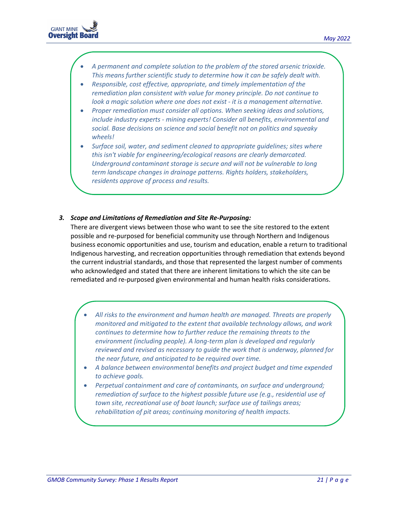

- *A permanent and complete solution to the problem of the stored arsenic trioxide. This means further scientific study to determine how it can be safely dealt with.*
- *Responsible, cost effective, appropriate, and timely implementation of the remediation plan consistent with value for money principle. Do not continue to look a magic solution where one does not exist - it is a management alternative.*
- *Proper remediation must consider all options. When seeking ideas and solutions, include industry experts - mining experts! Consider all benefits, environmental and social. Base decisions on science and social benefit not on politics and squeaky wheels!*
- *Surface soil, water, and sediment cleaned to appropriate guidelines; sites where this isn't viable for engineering/ecological reasons are clearly demarcated. Underground contaminant storage is secure and will not be vulnerable to long term landscape changes in drainage patterns. Rights holders, stakeholders, residents approve of process and results.*

## *3. Scope and Limitations of Remediation and Site Re-Purposing:*

There are divergent views between those who want to see the site restored to the extent possible and re-purposed for beneficial community use through Northern and Indigenous business economic opportunities and use, tourism and education, enable a return to traditional Indigenous harvesting, and recreation opportunities through remediation that extends beyond the current industrial standards, and those that represented the largest number of comments who acknowledged and stated that there are inherent limitations to which the site can be remediated and re-purposed given environmental and human health risks considerations.

- *All risks to the environment and human health are managed. Threats are properly monitored and mitigated to the extent that available technology allows, and work continues to determine how to further reduce the remaining threats to the environment (including people). A long-term plan is developed and regularly reviewed and revised as necessary to guide the work that is underway, planned for the near future, and anticipated to be required over time.*
- *A balance between environmental benefits and project budget and time expended to achieve goals.*
- *Perpetual containment and care of contaminants, on surface and underground; remediation of surface to the highest possible future use (e.g., residential use of town site, recreational use of boat launch; surface use of tailings areas; rehabilitation of pit areas; continuing monitoring of health impacts.*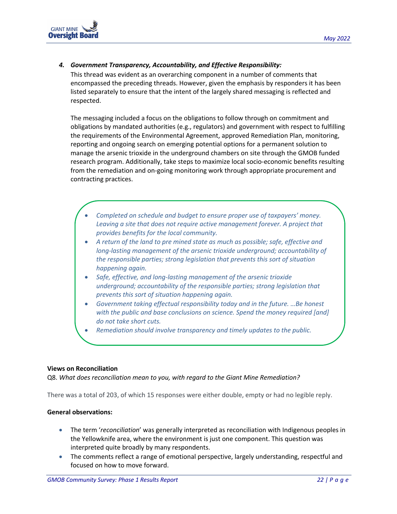

## *4. Government Transparency, Accountability, and Effective Responsibility:*

This thread was evident as an overarching component in a number of comments that encompassed the preceding threads. However, given the emphasis by responders it has been listed separately to ensure that the intent of the largely shared messaging is reflected and respected.

The messaging included a focus on the obligations to follow through on commitment and obligations by mandated authorities (e.g., regulators) and government with respect to fulfilling the requirements of the Environmental Agreement, approved Remediation Plan, monitoring, reporting and ongoing search on emerging potential options for a permanent solution to manage the arsenic trioxide in the underground chambers on site through the GMOB funded research program. Additionally, take steps to maximize local socio-economic benefits resulting from the remediation and on-going monitoring work through appropriate procurement and contracting practices.

- *Completed on schedule and budget to ensure proper use of taxpayers' money.*  Leaving a site that does not require active management forever. A project that *provides benefits for the local community.*
- *A return of the land to pre mined state as much as possible; safe, effective and long-lasting management of the arsenic trioxide underground; accountability of the responsible parties; strong legislation that prevents this sort of situation happening again.*
- *Safe, effective, and long-lasting management of the arsenic trioxide underground; accountability of the responsible parties; strong legislation that prevents this sort of situation happening again.*
- *Government taking effectual responsibility today and in the future. …Be honest with the public and base conclusions on science. Spend the money required [and] do not take short cuts.*
- *Remediation should involve transparency and timely updates to the public.*

#### **Views on Reconciliation**

Q8. *What does reconciliation mean to you, with regard to the Giant Mine Remediation?* 

There was a total of 203, of which 15 responses were either double, empty or had no legible reply.

## **General observations:**

- The term '*reconciliation*' was generally interpreted as reconciliation with Indigenous peoples in the Yellowknife area, where the environment is just one component. This question was interpreted quite broadly by many respondents.
- The comments reflect a range of emotional perspective, largely understanding, respectful and focused on how to move forward.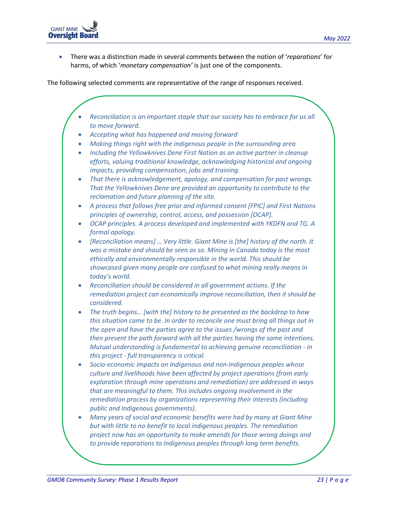

• There was a distinction made in several comments between the notion of '*reparations*' for harms, of which '*monetary compensation'* is just one of the components.

The following selected comments are representative of the range of responses received.

- *Reconciliation is an important staple that our society has to embrace for us all to move forward.*
- *Accepting what has happened and moving forward*
- *Making things right with the indigenous people in the surrounding area*
- *Including the Yellowknives Dene First Nation as an active partner in cleanup efforts, valuing traditional knowledge, acknowledging historical and ongoing impacts, providing compensation, jobs and training.*
- *That there is acknowledgement, apology, and compensation for past wrongs. That the Yellowknives Dene are provided an opportunity to contribute to the reclamation and future planning of the site.*
- *A process that follows free prior and informed consent [FPIC] and First Nations principles of ownership, control, access, and possession [OCAP].*
- *OCAP principles. A process developed and implemented with YKDFN and TG. A formal apology.*
- *[Reconciliation means] … Very little. Giant Mine is [the] history of the north. It was a mistake and should be seen as so. Mining in Canada today is the most ethically and environmentally responsible in the world. This should be showcased given many people are confused to what mining really means in today's world.*
- *Reconciliation should be considered in all government actions. If the remediation project can economically improve reconciliation, then it should be considered.*
- *The truth begins… [with the] history to be presented as the backdrop to how this situation came to be. In order to reconcile one must bring all things out in the open and have the parties agree to the issues /wrongs of the past and then present the path forward with all the parties having the same intentions. Mutual understanding is fundamental to achieving genuine reconciliation - in this project - full transparency is critical.*
- *Socio-economic impacts on Indigenous and non-Indigenous peoples whose culture and livelihoods have been affected by project operations (from early exploration through mine operations and remediation) are addressed in ways that are meaningful to them. This includes ongoing involvement in the remediation process by organizations representing their interests (including public and Indigenous governments).*
- *Many years of social and economic benefits were had by many at Giant Mine but with little to no benefit to local indigenous peoples. The remediation project now has an opportunity to make amends for those wrong doings and to provide reparations to Indigenous peoples through long term benefits.*

indigenous peoples on how to address the remediation process, employment,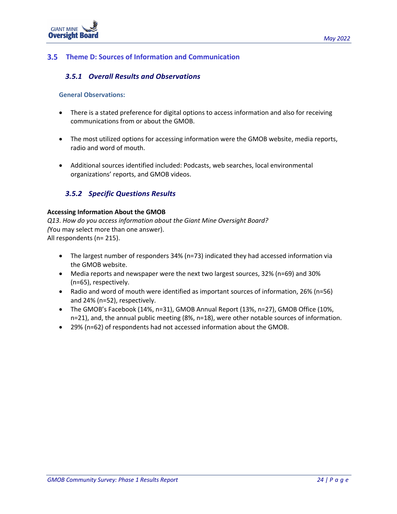

## **Theme D: Sources of Information and Communication**

## *3.5.1 Overall Results and Observations*

## **General Observations:**

- There is a stated preference for digital options to access information and also for receiving communications from or about the GMOB.
- The most utilized options for accessing information were the GMOB website, media reports, radio and word of mouth.
- Additional sources identified included: Podcasts, web searches, local environmental organizations' reports, and GMOB videos.

## *3.5.2 Specific Questions Results*

#### **Accessing Information About the GMOB**

*Q13*. *How do you access information about the Giant Mine Oversight Board? (*You may select more than one answer). All respondents (n= 215).

- The largest number of responders 34% (n=73) indicated they had accessed information via the GMOB website.
- Media reports and newspaper were the next two largest sources, 32% (n=69) and 30% (n=65), respectively.
- Radio and word of mouth were identified as important sources of information, 26% (n=56) and 24% (n=52), respectively.
- The GMOB's Facebook (14%, n=31), GMOB Annual Report (13%, n=27), GMOB Office (10%, n=21), and, the annual public meeting (8%, n=18), were other notable sources of information.
- 29% (n=62) of respondents had not accessed information about the GMOB.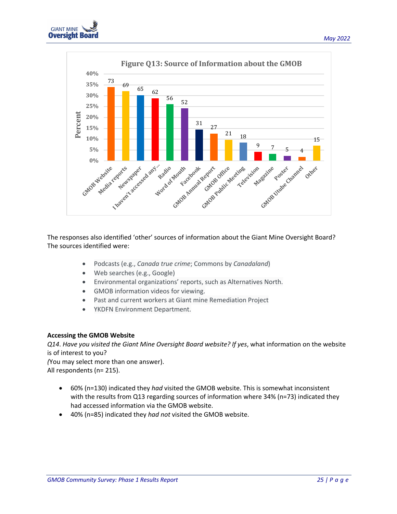



The responses also identified 'other' sources of information about the Giant Mine Oversight Board? The sources identified were:

- Podcasts (e.g., *Canada true crime*; Commons by *Canadaland*)
- Web searches (e.g., Google)
- Environmental organizations' reports, such as Alternatives North.
- GMOB information videos for viewing.
- Past and current workers at Giant mine Remediation Project
- YKDFN Environment Department.

## **Accessing the GMOB Website**

*Q14*. *Have you visited the Giant Mine Oversight Board website? If yes*, what information on the website is of interest to you?

*(*You may select more than one answer). All respondents (n= 215).

- 60% (n=130) indicated they *had* visited the GMOB website. This is somewhat inconsistent with the results from Q13 regarding sources of information where 34% (n=73) indicated they had accessed information via the GMOB website.
- 40% (n=85) indicated they *had not* visited the GMOB website.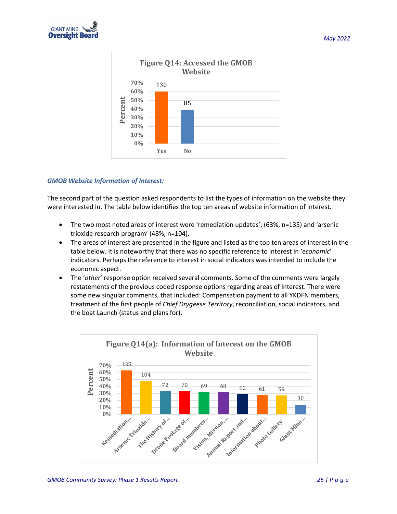



## *GMOB Website Information of Interest:*

The second part of the question asked respondents to list the types of information on the website they were interested in. The table below identifies the top ten areas of website information of interest.

- The two most noted areas of interest were 'remediation updates'; (63%, n=135) and 'arsenic trioxide research program' (48%, n=104).
- The areas of interest are presented in the figure and listed as the top ten areas of interest in the table below. It is noteworthy that there was no specific reference to interest in '*economic*' indicators. Perhaps the reference to interest in social indicators was intended to include the economic aspect.
- The '*other*' response option received several comments. Some of the comments were largely restatements of the previous coded response options regarding areas of interest. There were some new singular comments, that included: Compensation payment to all YKDFN members, treatment of the first people of *Chief Drygeese Territory*, reconciliation, social indicators, and the boat Launch (status and plans for).

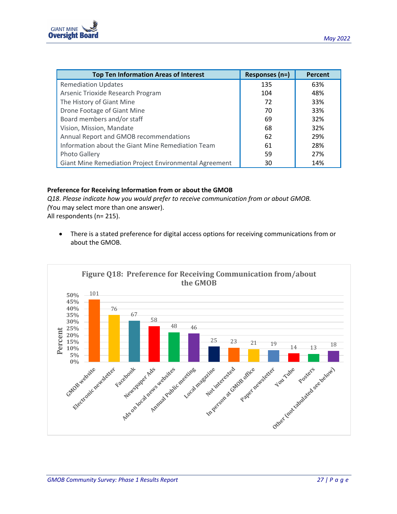| <b>Top Ten Information Areas of Interest</b>                  | Responses (n=) | Percent |
|---------------------------------------------------------------|----------------|---------|
| <b>Remediation Updates</b>                                    | 135            | 63%     |
| Arsenic Trioxide Research Program                             | 104            | 48%     |
| The History of Giant Mine                                     | 72             | 33%     |
| Drone Footage of Giant Mine                                   | 70             | 33%     |
| Board members and/or staff                                    | 69             | 32%     |
| Vision, Mission, Mandate                                      | 68             | 32%     |
| Annual Report and GMOB recommendations                        | 62             | 29%     |
| Information about the Giant Mine Remediation Team             | 61             | 28%     |
| <b>Photo Gallery</b>                                          | 59             | 27%     |
| <b>Giant Mine Remediation Project Environmental Agreement</b> | 30             | 14%     |

## **Preference for Receiving Information from or about the GMOB**

*Q18*. *Please indicate how you would prefer to receive communication from or about GMOB. (*You may select more than one answer). All respondents (n= 215).

• There is a stated preference for digital access options for receiving communications from or about the GMOB.

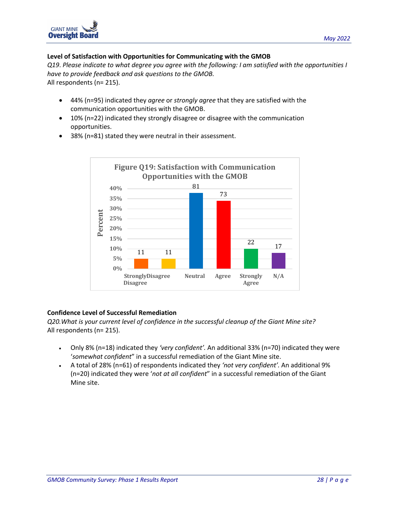

## **Level of Satisfaction with Opportunities for Communicating with the GMOB**

*Q19*. *Please indicate to what degree you agree with the following: I am satisfied with the opportunities I have to provide feedback and ask questions to the GMOB.* All respondents (n= 215).

- 44% (n=95) indicated they *agree* or *strongly agree* that they are satisfied with the communication opportunities with the GMOB.
- 10% (n=22) indicated they strongly disagree or disagree with the communication opportunities.
- 38% (n=81) stated they were neutral in their assessment.



## **Confidence Level of Successful Remediation**

*Q20.What is your current level of confidence in the successful cleanup of the Giant Mine site?* All respondents (n= 215).

- Only 8% (n=18) indicated they *'very confident'.* An additional 33% (n=70) indicated they were '*somewhat confident*" in a successful remediation of the Giant Mine site.
- A total of 28% (n=61) of respondents indicated they *'not very confident'.* An additional 9% (n=20) indicated they were '*not at all confident*" in a successful remediation of the Giant Mine site.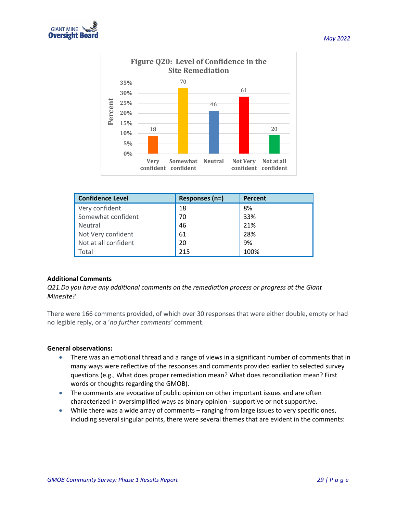



| <b>Confidence Level</b> | Responses (n=) | <b>Percent</b> |
|-------------------------|----------------|----------------|
| Very confident          | 18             | 8%             |
| Somewhat confident      | 70             | 33%            |
| <b>Neutral</b>          | 46             | 21%            |
| Not Very confident      | 61             | 28%            |
| Not at all confident    | 20             | 9%             |
| Total                   | 215            | 100%           |

#### **Additional Comments**

*Q21.Do you have any additional comments on the remediation process or progress at the Giant Minesite?*

There were 166 comments provided, of which over 30 responses that were either double, empty or had no legible reply, or a '*no further comments'* comment.

#### **General observations:**

- There was an emotional thread and a range of views in a significant number of comments that in many ways were reflective of the responses and comments provided earlier to selected survey questions (e.g., What does proper remediation mean? What does reconciliation mean? First words or thoughts regarding the GMOB).
- The comments are evocative of public opinion on other important issues and are often characterized in oversimplified ways as binary opinion - supportive or not supportive.
- While there was a wide array of comments ranging from large issues to very specific ones, including several singular points, there were several themes that are evident in the comments: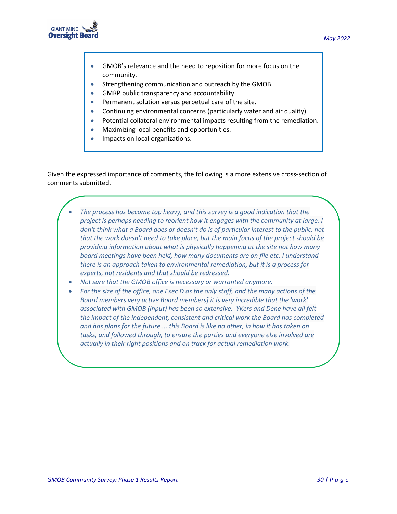

- GMOB's relevance and the need to reposition for more focus on the community.
- Strengthening communication and outreach by the GMOB.
- GMRP public transparency and accountability.
- Permanent solution versus perpetual care of the site.
- Continuing environmental concerns (particularly water and air quality).
- Potential collateral environmental impacts resulting from the remediation.
- Maximizing local benefits and opportunities.
- Impacts on local organizations.

Given the expressed importance of comments, the following is a more extensive cross-section of comments submitted.

- *The process has become top heavy, and this survey is a good indication that the project is perhaps needing to reorient how it engages with the community at large. I don't think what a Board does or doesn't do is of particular interest to the public, not that the work doesn't need to take place, but the main focus of the project should be providing information about what is physically happening at the site not how many board meetings have been held, how many documents are on file etc. I understand there is an approach taken to environmental remediation, but it is a process for experts, not residents and that should be redressed.*
- *Not sure that the GMOB office is necessary or warranted anymore.*
- *For the size of the office, one Exec D as the only staff, and the many actions of the Board members very active Board members] it is very incredible that the 'work' associated with GMOB (input) has been so extensive. YKers and Dene have all felt the impact of the independent, consistent and critical work the Board has completed and has plans for the future.... this Board is like no other, in how it has taken on tasks, and followed through, to ensure the parties and everyone else involved are actually in their right positions and on track for actual remediation work.*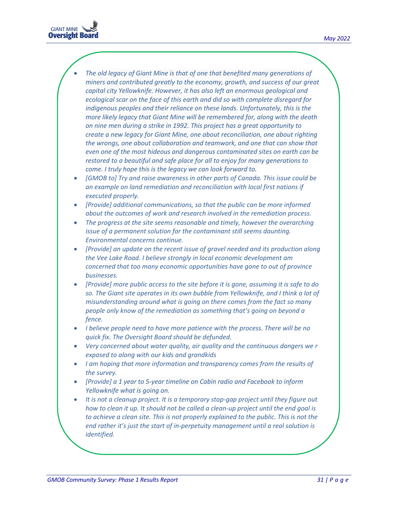

- *The old legacy of Giant Mine is that of one that benefited many generations of miners and contributed greatly to the economy, growth, and success of our great capital city Yellowknife. However, it has also left an enormous geological and ecological scar on the face of this earth and did so with complete disregard for indigenous peoples and their reliance on these lands. Unfortunately, this is the more likely legacy that Giant Mine will be remembered for, along with the death on nine men during a strike in 1992. This project has a great opportunity to create a new legacy for Giant Mine, one about reconciliation, one about righting the wrongs, one about collaboration and teamwork, and one that can show that even one of the most hideous and dangerous contaminated sites on earth can be restored to a beautiful and safe place for all to enjoy for many generations to come. I truly hope this is the legacy we can look forward to.*
- *[GMOB to] Try and raise awareness in other parts of Canada. This issue could be an example on land remediation and reconciliation with local first nations if executed properly.*
- *[Provide] additional communications, so that the public can be more informed about the outcomes of work and research involved in the remediation process.*
- *The progress at the site seems reasonable and timely, however the overarching issue of a permanent solution for the contaminant still seems daunting. Environmental concerns continue.*
- *[Provide] an update on the recent issue of gravel needed and its production along the Vee Lake Road. I believe strongly in local economic development am concerned that too many economic opportunities have gone to out of province businesses.*
- *[Provide] more public access to the site before it is gone, assuming it is safe to do so. The Giant site operates in its own bubble from Yellowknife, and I think a lot of misunderstanding around what is going on there comes from the fact so many people only know of the remediation as something that's going on beyond a fence.*
- *I believe people need to have more patience with the process. There will be no quick fix. The Oversight Board should be defunded.*
- *Very concerned about water quality, air quality and the continuous dangers we r exposed to along with our kids and grandkids*
- *I am hoping that more information and transparency comes from the results of the survey.*
- *[Provide] a 1 year to 5-year timeline on Cabin radio and Facebook to inform Yellowknife what is going on.*
- *It is not a cleanup project. It is a temporary stop-gap project until they figure out how to clean it up. It should not be called a clean-up project until the end goal is to achieve a clean site. This is not properly explained to the public. This is not the end rather it's just the start of in-perpetuity management until a real solution is identified.*

•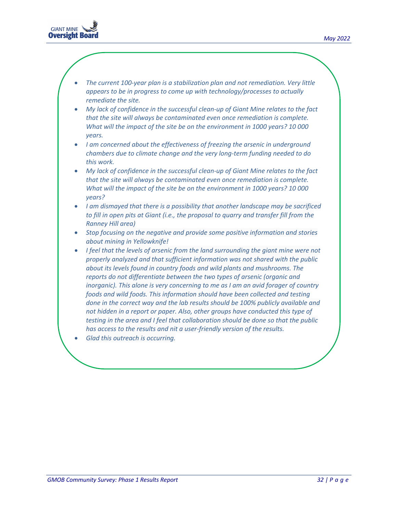

- *The current 100-year plan is a stabilization plan and not remediation. Very little appears to be in progress to come up with technology/processes to actually remediate the site.*
- *My lack of confidence in the successful clean-up of Giant Mine relates to the fact that the site will always be contaminated even once remediation is complete. What will the impact of the site be on the environment in 1000 years? 10 000 years.*
- *I am concerned about the effectiveness of freezing the arsenic in underground chambers due to climate change and the very long-term funding needed to do this work.*
- *My lack of confidence in the successful clean-up of Giant Mine relates to the fact that the site will always be contaminated even once remediation is complete. What will the impact of the site be on the environment in 1000 years? 10 000 years?*
- *I am dismayed that there is a possibility that another landscape may be sacrificed*  to fill in open pits at Giant *(i.e., the proposal to quarry and transfer fill from the Ranney Hill area)*
- *Stop focusing on the negative and provide some positive information and stories about mining in Yellowknife!*
- *I feel that the levels of arsenic from the land surrounding the giant mine were not properly analyzed and that sufficient information was not shared with the public about its levels found in country foods and wild plants and mushrooms. The reports do not differentiate between the two types of arsenic (organic and inorganic). This alone is very concerning to me as I am an avid forager of country foods and wild foods. This information should have been collected and testing done in the correct way and the lab results should be 100% publicly available and not hidden in a report or paper. Also, other groups have conducted this type of testing in the area and I feel that collaboration should be done so that the public has access to the results and nit a user-friendly version of the results.*
- *Glad this outreach is occurring.*

•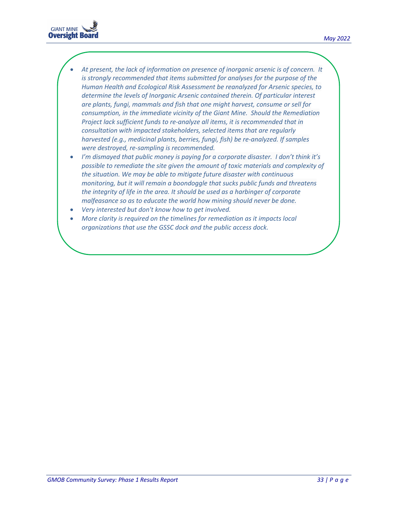

- *At present, the lack of information on presence of inorganic arsenic is of concern. It is strongly recommended that items submitted for analyses for the purpose of the Human Health and Ecological Risk Assessment be reanalyzed for Arsenic species, to determine the levels of Inorganic Arsenic contained therein. Of particular interest are plants, fungi, mammals and fish that one might harvest, consume or sell for consumption, in the immediate vicinity of the Giant Mine. Should the Remediation Project lack sufficient funds to re-analyze all items, it is recommended that in consultation with impacted stakeholders, selected items that are regularly harvested (e.g., medicinal plants, berries, fungi, fish) be re-analyzed. If samples were destroyed, re-sampling is recommended.*
- *I'm dismayed that public money is paying for a corporate disaster. I don't think it's possible to remediate the site given the amount of toxic materials and complexity of the situation. We may be able to mitigate future disaster with continuous monitoring, but it will remain a boondoggle that sucks public funds and threatens the integrity of life in the area. It should be used as a harbinger of corporate malfeasance so as to educate the world how mining should never be done.*
- *Very interested but don't know how to get involved.*
- *More clarity is required on the timelines for remediation as it impacts local organizations that use the GSSC dock and the public access dock.*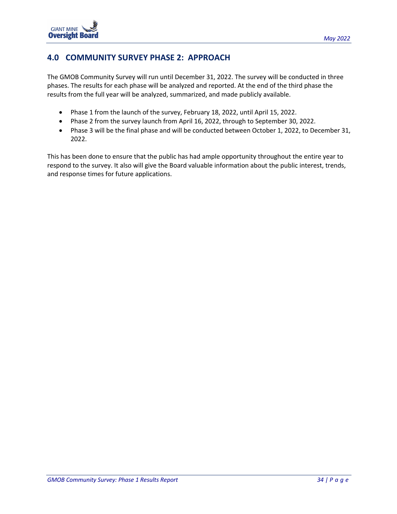

# **4.0 COMMUNITY SURVEY PHASE 2: APPROACH**

The GMOB Community Survey will run until December 31, 2022. The survey will be conducted in three phases. The results for each phase will be analyzed and reported. At the end of the third phase the results from the full year will be analyzed, summarized, and made publicly available.

- Phase 1 from the launch of the survey, February 18, 2022, until April 15, 2022.
- Phase 2 from the survey launch from April 16, 2022, through to September 30, 2022.
- Phase 3 will be the final phase and will be conducted between October 1, 2022, to December 31, 2022.

This has been done to ensure that the public has had ample opportunity throughout the entire year to respond to the survey. It also will give the Board valuable information about the public interest, trends, and response times for future applications.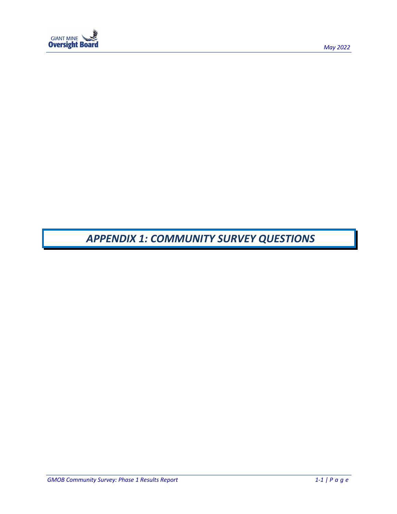

*APPENDIX 1: COMMUNITY SURVEY QUESTIONS*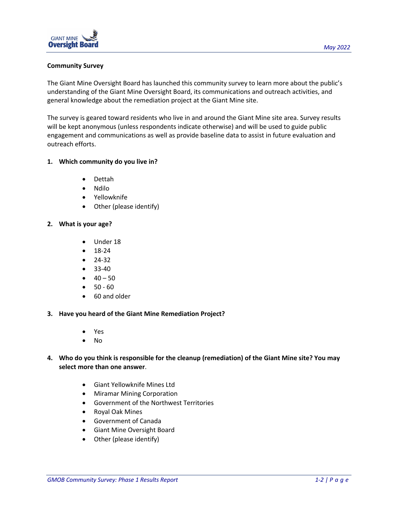

## **Community Survey**

The Giant Mine Oversight Board has launched this community survey to learn more about the public's understanding of the Giant Mine Oversight Board, its communications and outreach activities, and general knowledge about the remediation project at the Giant Mine site.

The survey is geared toward residents who live in and around the Giant Mine site area. Survey results will be kept anonymous (unless respondents indicate otherwise) and will be used to guide public engagement and communications as well as provide baseline data to assist in future evaluation and outreach efforts.

## **1. Which community do you live in?**

- Dettah
- Ndilo
- Yellowknife
- Other (please identify)

## **2. What is your age?**

- Under 18
- 18-24
- 24-32
- 33-40
- $40 50$
- $50 60$
- 60 and older

## **3. Have you heard of the Giant Mine Remediation Project?**

- Yes
- No
- **4. Who do you think is responsible for the cleanup (remediation) of the Giant Mine site? You may select more than one answer**.
	- Giant Yellowknife Mines Ltd
	- Miramar Mining Corporation
	- Government of the Northwest Territories
	- Royal Oak Mines
	- Government of Canada
	- Giant Mine Oversight Board
	- Other (please identify)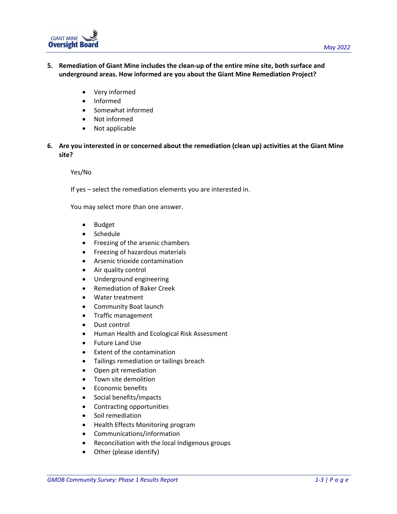

- **5. Remediation of Giant Mine includes the clean-up of the entire mine site, both surface and underground areas. How informed are you about the Giant Mine Remediation Project?**
	- Very informed
	- Informed
	- Somewhat informed
	- Not informed
	- Not applicable
- **6. Are you interested in or concerned about the remediation (clean up) activities at the Giant Mine site?**

Yes/No

If yes – select the remediation elements you are interested in.

You may select more than one answer.

- Budget
- Schedule
- Freezing of the arsenic chambers
- Freezing of hazardous materials
- Arsenic trioxide contamination
- Air quality control
- Underground engineering
- Remediation of Baker Creek
- Water treatment
- Community Boat launch
- Traffic management
- Dust control
- Human Health and Ecological Risk Assessment
- Future Land Use
- Extent of the contamination
- Tailings remediation or tailings breach
- Open pit remediation
- Town site demolition
- Economic benefits
- Social benefits/impacts
- Contracting opportunities
- Soil remediation
- Health Effects Monitoring program
- Communications/information
- Reconciliation with the local Indigenous groups
- Other (please identify)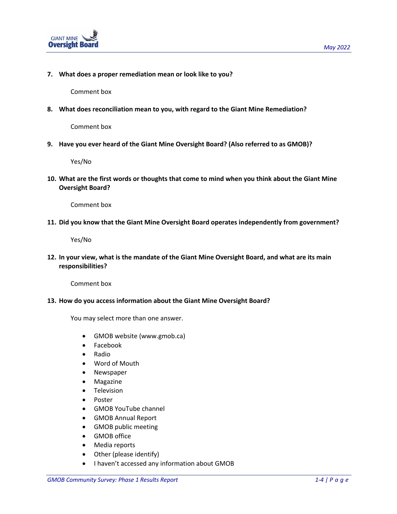

**7. What does a proper remediation mean or look like to you?** 

Comment box

**8. What does reconciliation mean to you, with regard to the Giant Mine Remediation?** 

Comment box

**9. Have you ever heard of the Giant Mine Oversight Board? (Also referred to as GMOB)?** 

Yes/No

**10. What are the first words or thoughts that come to mind when you think about the Giant Mine Oversight Board?** 

Comment box

**11. Did you know that the Giant Mine Oversight Board operates independently from government?** 

Yes/No

**12. In your view, what is the mandate of the Giant Mine Oversight Board, and what are its main responsibilities?** 

Comment box

#### **13. How do you access information about the Giant Mine Oversight Board?**

You may select more than one answer.

- GMOB website (www.gmob.ca)
- Facebook
- Radio
- Word of Mouth
- Newspaper
- **Magazine**
- **Television**
- Poster
- GMOB YouTube channel
- GMOB Annual Report
- GMOB public meeting
- GMOB office
- Media reports
- Other (please identify)
- I haven't accessed any information about GMOB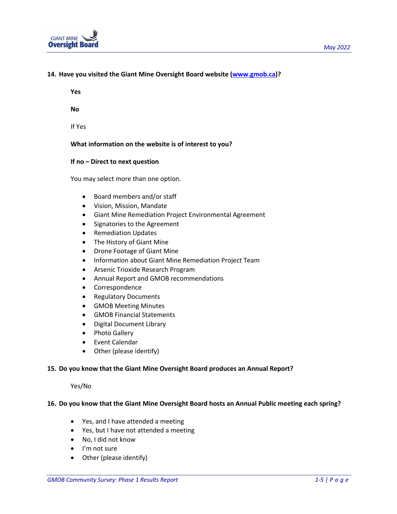

## **14. Have you visited the Giant Mine Oversight Board website (www.gmob.ca)?**

**Yes**

**No**

If Yes

**What information on the website is of interest to you?** 

#### **If no – Direct to next question**

You may select more than one option.

- Board members and/or staff
- Vision, Mission, Mandate
- Giant Mine Remediation Project Environmental Agreement
- Signatories to the Agreement
- Remediation Updates
- The History of Giant Mine
- Drone Footage of Giant Mine
- Information about Giant Mine Remediation Project Team
- Arsenic Trioxide Research Program
- Annual Report and GMOB recommendations
- **Correspondence**
- Regulatory Documents
- GMOB Meeting Minutes
- GMOB Financial Statements
- Digital Document Library
- Photo Gallery
- **Event Calendar**
- Other (please identify)

#### **15. Do you know that the Giant Mine Oversight Board produces an Annual Report?**

Yes/No

#### **16. Do you know that the Giant Mine Oversight Board hosts an Annual Public meeting each spring?**

- Yes, and I have attended a meeting
- Yes, but I have not attended a meeting
- No, I did not know
- I'm not sure
- Other (please identify)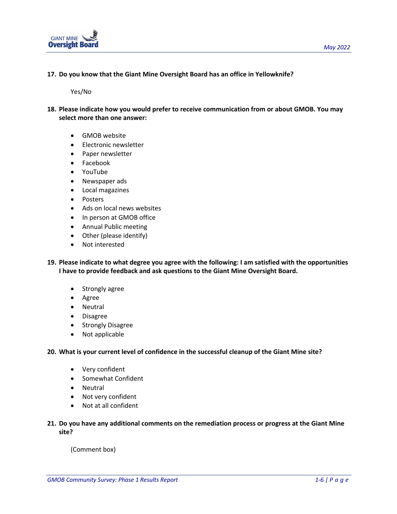

**17. Do you know that the Giant Mine Oversight Board has an office in Yellowknife?**

Yes/No

- **18. Please indicate how you would prefer to receive communication from or about GMOB. You may select more than one answer:** 
	- GMOB website
	- Electronic newsletter
	- Paper newsletter
	- Facebook
	- YouTube
	- Newspaper ads
	- Local magazines
	- Posters
	- Ads on local news websites
	- In person at GMOB office
	- Annual Public meeting
	- Other (please identify)
	- Not interested
- **19. Please indicate to what degree you agree with the following: I am satisfied with the opportunities I have to provide feedback and ask questions to the Giant Mine Oversight Board.**
	- Strongly agree
	- Agree
	- Neutral
	- Disagree
	- Strongly Disagree
	- Not applicable

#### **20. What is your current level of confidence in the successful cleanup of the Giant Mine site?**

- Very confident
- Somewhat Confident
- Neutral
- Not very confident
- Not at all confident

## **21. Do you have any additional comments on the remediation process or progress at the Giant Mine site?**

(Comment box)